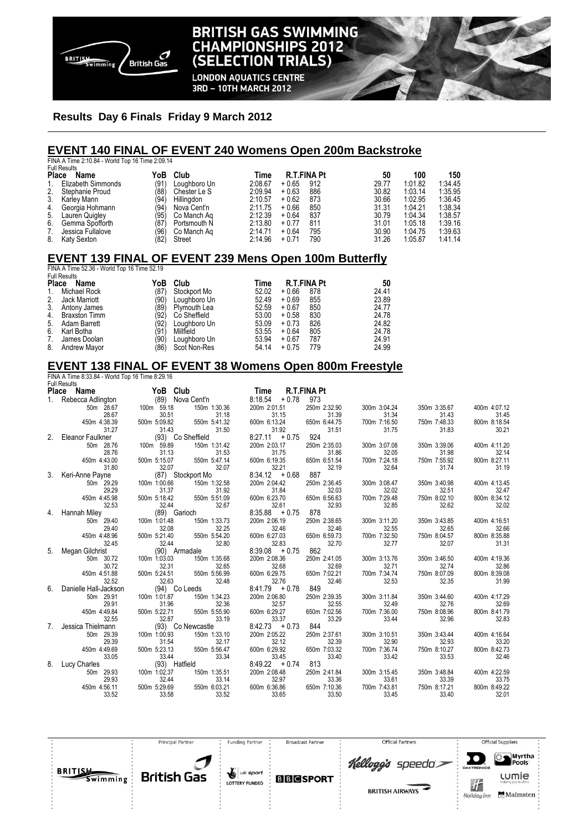

# **BRITISH GAS SWIMMING CHAMPIONSHIPS 2012** (SELECTION TRIALS)

**LONDON AQUATICS CENTRE** 3RD - 10TH MARCH 2012

### **Results Day 6 Finals Friday 9 March 2012**

#### **EVENT 140 FINAL OF EVENT 240 Womens Open 200m Backstroke**

FINA A Time 2:10.84 - World Top 16 Time 2:09.14 Full Results

| Place<br>Name |                    | YoB  | Club         | Time    |         | <b>R.T.FINA Pt</b> | 50    | 100     | 150     |
|---------------|--------------------|------|--------------|---------|---------|--------------------|-------|---------|---------|
|               |                    |      |              |         |         |                    |       |         |         |
|               | Elizabeth Simmonds | (91) | Loughboro Un | 2:08.67 | $+0.65$ | 912                | 29.77 | 1:01.82 | 1:34.45 |
| 2.            | Stephanie Proud    | (88) | Chester Le S | 2:09.94 | $+0.63$ | 886                | 30.82 | 1:03.14 | 1:35.95 |
| 3.            | Karlev Mann        | (94  | Hillingdon   | 2:10.57 | $+0.62$ | 873                | 30.66 | 1:02.95 | 1:36.45 |
|               | 4. Georgia Hohmann | (94) | Nova Cent'n  | 2:11.75 | $+0.66$ | 850                | 31.31 | 1:04.21 | 1:38.34 |
|               | 5. Lauren Quigley  | (95  | Co Manch Ag  | 2:12.39 | $+0.64$ | 837                | 30.79 | 1:04.34 | 1:38.57 |
| 6.            | Gemma Spofforth    | (87) | Portsmouth N | 2:13.80 | $+0.77$ | 811                | 31.01 | 1:05.18 | 1:39.16 |
|               | Jessica Fullalove  | (96  | Co Manch Ag  | 2:14.71 | $+0.64$ | 795                | 30.90 | 1:04.75 | 1:39.63 |
| 8.            | Katy Sexton        | '82) | Street       | 2:14.96 | $+0.71$ | 790                | 31.26 | 1:05.87 | 1:41.14 |

# **EVENT 139 FINAL OF EVENT 239 Mens Open 100m Butterfly**

FINA A Time 52.36 - World Top 16 Time 52.19 Full Results

| <b>Place</b> | Name                 | YoB  | Club         | Time  | <b>R.T.FINA Pt</b> | 50    |
|--------------|----------------------|------|--------------|-------|--------------------|-------|
| 1.           | Michael Rock         | (87) | Stockport Mo | 52.02 | $+0.66$<br>878     | 24.41 |
| 2.           | Jack Marriott        | '90) | Loughboro Un | 52.49 | 855<br>$+0.69$     | 23.89 |
| 3.           | Antony James         | (89) | Plymouth Lea | 52.59 | 850<br>$+0.67$     | 24.77 |
| 4.           | <b>Braxston Timm</b> | '92) | Co Sheffield | 53.00 | 830<br>$+0.58$     | 24.78 |
| 5.           | Adam Barrett         | (92) | Loughboro Un | 53.09 | 826<br>$+0.73$     | 24.82 |
| 6.           | Karl Botha           | (91) | Millfield    | 53.55 | 805<br>$+0.64$     | 24.78 |
| 7.           | James Doolan         | (90) | Loughboro Un | 53.94 | 787<br>$+0.67$     | 24.91 |
| 8.           | <b>Andrew Mayor</b>  | (86) | Scot Non-Res | 54.14 | 779<br>$+0.75$     | 24.99 |

### **EVENT 138 FINAL OF EVENT 38 Womens Open 800m Freestyle**

FINA A Time 8:33.84 - World Top 16 Time 8:29.16 Full Results **Place Name YoB Club Time R.T.FINA Pt**<br>1. Rebecca Adlington (89) Nova Cent'n 8:18.54 + 0.78 973 1. Rebecca Adlington (89) Nova Cent'n 8:18.54 + 0.78 973 50m 28.67 100m 59.18 150m 1:30.36 200m 2:01.51 250m 2:32.90 300m 3:04.24 350m 3:35.67 400m 4:07.12 28.67 30.51 31.18 31.15 31.39 31.34 31.43 31.45 450m 4:38.39 500m 5:09.82 550m 5:41.32 600m 6:13.24 650m 6:44.75 700m 7:16.50 750m 7:48.33 800m 8:18.54 31.27 31.43 31.50 31.92 31.51 31.75 31.83 30.21 2. Eleanor Faulkner (93) Co Sheffield 8:27.11 + 0.75 924 50m 28.76 100m 59.89 150m 1:31.42 200m 2:03.17 250m 2:35.03 300m 3:07.08 350m 3:39.06 400m 4:11.20 28.76 31.13 31.53 31.75 31.86 32.05 31.98 32.14 450m 4:43.00 500m 5:15.07 550m 5:47.14 600m 6:19.35 650m 6:51.54 700m 7:24.18 750m 7:55.92 800m 8:27.11 31.80 32.07 32.07 32.07 32.07 32.21 32.21 32.19 32.64 31.19 32.07 32.30 32.07 32.21 32.54 31.19<br>Vine (87) Stockport Mo 8:34.12 + 0.68 887 32.19 32.64 31.74 31.19<br>20.90 100m 1:00.66 150m 1:00.56 300m 1:00.56 300m 1:00.56 3 3. Keri-Anne Payne (87) (87) Stockport Mo 8:34.12 + 0.68 887<br>50m 29.29 100m 1:00.66 150m 1:32.58 200m 2:04.42 250m 2:36.45 50m 29.29 100m 1:00.66 150m 1:32.58 200m 2:04.42 250m 2:36.45 300m 3:08.47 350m 3:40.98 400m 4:13.45 29.29 31.37 31.92 31.84 32.03 32.02 32.51 32.47 450m 4:45.98 500m 5:18.42 550m 5:51.09 600m 6:23.70 650m 6:56.63 700m 7:29.48 750m 8:02.10 800m 8:34.12 32.53 32.44 32.67 32.61 32.93 32.85 32.62 32.02 4. Hannah Miley (89) Garioch 8:35.88 + 0.75 878<br>50m 29.40 100m 1:01.48 150m 1:33.73 200m 2:06.19 250m 2:38.65 50m 29.40 100m 1:01.48 150m 1:33.73 200m 2:06.19 250m 2:38.65 300m 3:11.20 350m 3:43.85 400m 4:16.51 29.40 32.08 32.25 32.46 32.46 32.55 32.65 32.66 450m 4:48.96 500m 5:21.40 550m 5:54.20 600m 6:27.03 650m 6:59.73 700m 7:32.50 750m 8:04.57 800m 8:35.88 32.45 32.44 32.80 32.83 32.70 32.77 32.07 31.31 5. Megan Gilchrist (90) Armadale 8:39.08 + 0.75 862<br>50m 30.72 100m 1:03.03 150m 1:35.68 200m 2:08.36 250m 2:41.05 50m 30.72 100m 1:03.03 150m 1:35.68 200m 2:08.36 250m 2:41.05 300m 3:13.76 350m 3:46.50 400m 4:19.36 30.72 32.31 32.65 32.68 32.69 32.71 32.74 32.86 450m 4:51.88 500m 5:24.51 550m 5:56.99 600m 6:29.75 650m 7:02.21 700m 7:34.74 750m 8:07.09 800m 8:39.08 32.52 32.63 32.48 32.76 32.46 32.53 32.35 31.99 32.48 32.52 32.52 32.63 32.48 32.66 32.46<br>6. Danielle Hall-Jackson (94) Co Leeds 8:41.79 + 0.78 849<br>50m 29.91 100m 1:01.87 150m 1:34.23 200m 2:06.80 250m 2:39.35 50m 29.91 100m 1:01.87 150m 1:34.23 200m 2:06.80 250m 2:39.35 300m 3:11.84 350m 3:44.60 400m 4:17.29 29.91 31.96 32.36 32.57 32.55 32.49 32.76 32.69 450m 4:49.84 500m 5:22.71 550m 5:55.90 600m 6:29.27 650m 7:02.56 700m 7:36.00 750m 8:08.96 800m 8:41.79 32.55 32.87 33.19 33.37 33.29 33.44 32.96 32.83<br>
Jessica Thielmann (93) Collewcastle 8:42.73 + 0.73 844 33.29 7. Jessica Thielmann (93) Co Newcastle 8:42.73 + 0.73 844<br>50m 29.39 100m 1:00.93 150m 1:33.10 200m 2:05.22 250m 2:37.61 50m 29.39 100m 1:00.93 150m 1:33.10 200m 2:05.22 250m 2:37.61 300m 3:10.51 350m 3:43.44 400m 4:16.64 29.39 31.54 32.17 32.12 32.39 32.90 32.93 33.20 450m 4:49.69 500m 5:23.13 550m 5:56.47 600m 6:29.92 650m 7:03.32 700m 7:36.74 750m 8:10.27 800m 8:42.73 33.05 33.44 33.34 33.45 33.40 33.42 33.53 32.46 8. Lucy Charles 33.03 (93) 48. Lucy Charles (93) Hatfield 8:49.22 + 0.74 813<br>
50m 29.93 100m 1:02.37 150m 1:35.51 200m 2:08.48 250m 2:41.84 50m 29.93 100m 1:02.37 150m 1:35.51 200m 2:08.48 250m 2:41.84 300m 3:15.45 350m 3:48.84 400m 4:22.59 29.93 32.44 33.14 32.97 33.36 33.61 33.39 33.75 450m 4:56.11 500m 5:29.69 550m 6:03.21 600m 6:36.86 650m 7:10.36 700m 7:43.81 750m 8:17.21 800m 8:49.22 33.52 33.58 33.52 33.65 33.50 33.45 33.40 32.01

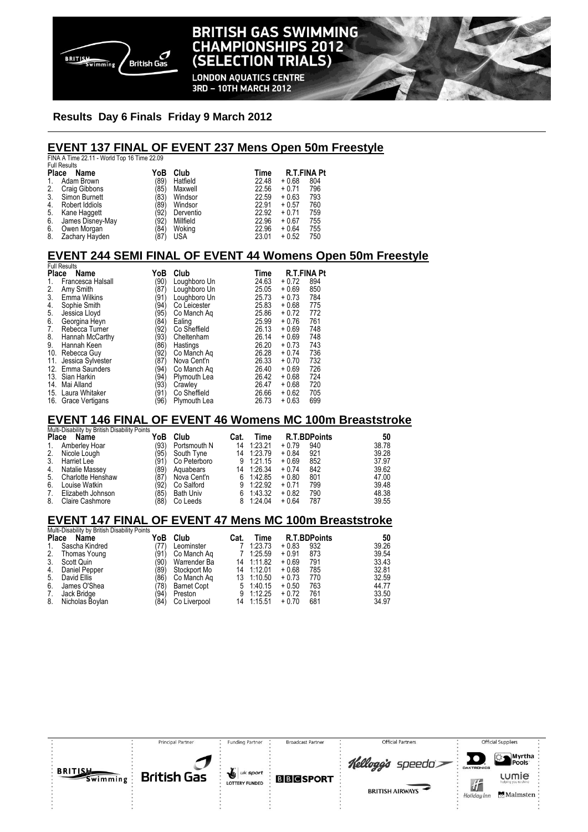

# **BRITISH GAS SWIMMING CHAMPIONSHIPS 2012** (SELECTION TRIALS)

**LONDON AQUATICS CENTRE** 3RD - 10TH MARCH 2012

### **Results Day 6 Finals Friday 9 March 2012**

### **EVENT 137 FINAL OF EVENT 237 Mens Open 50m Freestyle**

|                      | FINA A Time 22.11 - World Top 16 Time 22.09 |      |            |                            |         |     |  |  |  |
|----------------------|---------------------------------------------|------|------------|----------------------------|---------|-----|--|--|--|
|                      | <b>Full Results</b>                         |      |            |                            |         |     |  |  |  |
| Place<br>YoB<br>Name |                                             |      | Club       | <b>R.T.FINA Pt</b><br>Time |         |     |  |  |  |
| 1.                   | Adam Brown                                  | (89) | Hatfield   | 22.48                      | $+0.68$ | 804 |  |  |  |
|                      | 2. Craig Gibbons                            | (85) | Maxwell    | 22.56                      | $+0.71$ | 796 |  |  |  |
| 3.                   | Simon Burnett                               | (83) | Windsor    | 22.59                      | $+0.63$ | 793 |  |  |  |
| 4.                   | Robert Iddiols                              | (89) | Windsor    | 22.91                      | $+0.57$ | 760 |  |  |  |
| 5.                   | Kane Haggett                                | (92) | Derventio  | 22.92                      | $+0.71$ | 759 |  |  |  |
| 6.                   | James Disney-May                            | (92) | Millfield  | 22.96                      | $+0.67$ | 755 |  |  |  |
| 6.                   | Owen Morgan                                 | (84) | Woking     | 22.96                      | $+0.64$ | 755 |  |  |  |
| 8.                   | Zachary Hayden                              | (87) | <b>USA</b> | 23.01                      | $+0.52$ | 750 |  |  |  |
|                      |                                             |      |            |                            |         |     |  |  |  |

# **EVENT 244 SEMI FINAL OF EVENT 44 Womens Open 50m Freestyle**  Full Results

| Place<br>Name |                     | YoB  | Club         | Time  | <b>R.T.FINA Pt</b> |     |  |
|---------------|---------------------|------|--------------|-------|--------------------|-----|--|
| 1.            | Francesca Halsall   | (90) | Loughboro Un | 24.63 | $+0.72$            | 894 |  |
|               | Amy Smith           | (87) | Loughboro Un | 25.05 | $+0.69$            | 850 |  |
| $\frac{2}{3}$ | Emma Wilkins        | (91) | Loughboro Un | 25.73 | $+0.73$            | 784 |  |
| 4.            | Sophie Smith        | (94) | Co Leicester | 25.83 | $+0.68$            | 775 |  |
| 5.            | Jessica Lloyd       | (95) | Co Manch Ag  | 25.86 | $+0.72$            | 772 |  |
| 6.            | Georgina Heyn       | (84) | Ealing       | 25.99 | $+0.76$            | 761 |  |
| 7.            | Rebecca Turner      | (92) | Co Sheffield | 26.13 | $+0.69$            | 748 |  |
| 8.            | Hannah McCarthy     | (93) | Cheltenham   | 26.14 | $+0.69$            | 748 |  |
| 9.            | Hannah Keen         | '86) | Hastings     | 26.20 | $+0.73$            | 743 |  |
| 10.           | Rebecca Guy         | (92) | Co Manch Aq  | 26.28 | $+0.74$            | 736 |  |
| 11.           | Jessica Sylvester   | '87) | Nova Cent'n  | 26.33 | $+0.70$            | 732 |  |
|               | 12. Emma Saunders   | (94) | Co Manch Aq  | 26.40 | $+0.69$            | 726 |  |
|               | 13. Sian Harkin     | (94) | Plymouth Lea | 26.42 | $+0.68$            | 724 |  |
| 14.           | Mai Alland          | (93) | Crawley      | 26.47 | $+0.68$            | 720 |  |
|               | 15. Laura Whitaker  | (91) | Co Sheffield | 26.66 | $+0.62$            | 705 |  |
|               | 16. Grace Vertigans | '96) | Plymouth Lea | 26.73 | $+0.63$            | 699 |  |

## **EVENT 146 FINAL OF EVENT 46 Womens MC 100m Breaststroke**

|    | Multi-Disability by British Disability Points |      |                  |      |           |         |                     |       |
|----|-----------------------------------------------|------|------------------|------|-----------|---------|---------------------|-------|
|    | Place Name                                    | YoB  | Club             | Cat. | Time      |         | <b>R.T.BDPoints</b> | 50    |
| 1. | Amberley Hoar                                 | (93) | Portsmouth N     | 14   | 1:23.21   | $+0.79$ | 940                 | 38.78 |
| 2. | Nicole Lough                                  | (95) | South Tyne       | 14   | 1:23.79   | $+0.84$ | 921                 | 39.28 |
| 3. | Harriet Lee                                   | (91) | Co Peterboro     |      | 9 1:21.15 | $+0.69$ | 852                 | 37.97 |
| 4. | Natalie Massey                                | (89) | Aquabears        | 14   | 1:26.34   | $+0.74$ | 842                 | 39.62 |
| 5. | Charlotte Henshaw                             | (87) | Nova Cent'n      |      | 6 1:42.85 | $+0.80$ | 801                 | 47.00 |
| 6. | Louise Watkin                                 | '92) | Co Salford       |      | 9 1:22.92 | $+0.71$ | 799                 | 39.48 |
| 7. | Elizabeth Johnson                             | '85) | <b>Bath Univ</b> |      | 6 1:43.32 | $+0.82$ | 790                 | 48.38 |
| 8. | Claire Cashmore                               | 88)  | Co Leeds         |      | 8 1:24.04 | $+0.64$ | 787                 | 39.55 |

### **EVENT 147 FINAL OF EVENT 47 Mens MC 100m Breaststroke**

|             | Multi-Disability by British Disability Points |      |                    |      |            |         |                     |       |
|-------------|-----------------------------------------------|------|--------------------|------|------------|---------|---------------------|-------|
|             | Place Name                                    | YoB  | Club               | Cat. | Time       |         | <b>R.T.BDPoints</b> | 50    |
| $1_{\cdot}$ | Sascha Kindred                                | 77)  | Leominster         |      | 1:23.73    | $+0.83$ | 932                 | 39.26 |
| 2.          | Thomas Young                                  | (91) | Co Manch Ag        |      | 1:25.59    | $+0.91$ | 873                 | 39.54 |
| 3.          | Scott Quin                                    | '90) | Warrender Ba       |      | 14 1:11.82 | $+0.69$ | 791                 | 33.43 |
| 4.          | Daniel Pepper                                 | (89) | Stockport Mo       |      | 14 1:12.01 | $+0.68$ | 785                 | 32.81 |
| 5.          | David Ellis                                   | (86) | Co Manch Ag        | 13   | 1:10.50    | $+0.73$ | 770                 | 32.59 |
| 6.          | James O'Shea                                  | 78)  | <b>Barnet Copt</b> |      | 5 1:40.15  | $+0.50$ | 763                 | 44.77 |
| 7.          | Jack Bridge                                   | (94) | Preston            | 9    | 1:12.25    | $+0.72$ | 761                 | 33.50 |
| 8.          | Nicholas Boylan                               | (84  | Co Liverpool       |      | 14 1:15.51 | $+0.70$ | 681                 | 34.97 |